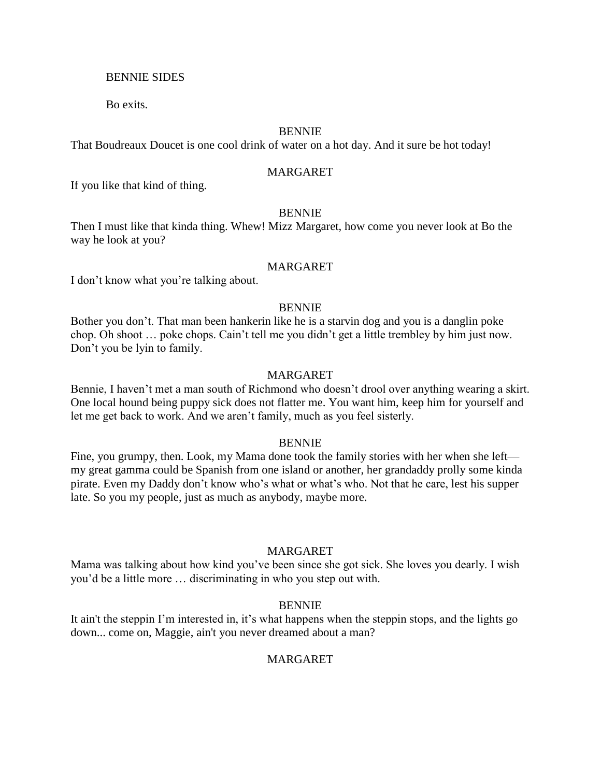### BENNIE SIDES

Bo exits.

### BENNIE

That Boudreaux Doucet is one cool drink of water on a hot day. And it sure be hot today!

## MARGARET

If you like that kind of thing.

## BENNIE

Then I must like that kinda thing. Whew! Mizz Margaret, how come you never look at Bo the way he look at you?

## MARGARET

I don't know what you're talking about.

# BENNIE

Bother you don't. That man been hankerin like he is a starvin dog and you is a danglin poke chop. Oh shoot … poke chops. Cain't tell me you didn't get a little trembley by him just now. Don't you be lyin to family.

## MARGARET

Bennie, I haven't met a man south of Richmond who doesn't drool over anything wearing a skirt. One local hound being puppy sick does not flatter me. You want him, keep him for yourself and let me get back to work. And we aren't family, much as you feel sisterly.

### BENNIE

Fine, you grumpy, then. Look, my Mama done took the family stories with her when she left my great gamma could be Spanish from one island or another, her grandaddy prolly some kinda pirate. Even my Daddy don't know who's what or what's who. Not that he care, lest his supper late. So you my people, just as much as anybody, maybe more.

# MARGARET

Mama was talking about how kind you've been since she got sick. She loves you dearly. I wish you'd be a little more … discriminating in who you step out with.

### BENNIE

It ain't the steppin I'm interested in, it's what happens when the steppin stops, and the lights go down... come on, Maggie, ain't you never dreamed about a man?

# MARGARET